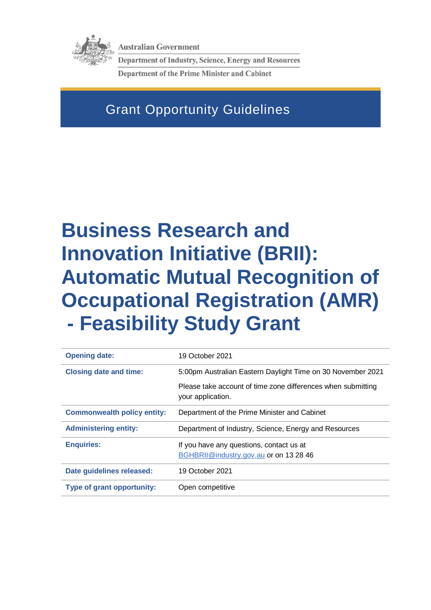

**Australian Government** 

**Department of Industry, Science, Energy and Resources Department of the Prime Minister and Cabinet** 

# Grant Opportunity Guidelines

# **Business Research and Innovation Initiative (BRII): Automatic Mutual Recognition of Occupational Registration (AMR) - Feasibility Study Grant**

| <b>Opening date:</b>               | 19 October 2021                                                                   |
|------------------------------------|-----------------------------------------------------------------------------------|
| <b>Closing date and time:</b>      | 5:00pm Australian Eastern Daylight Time on 30 November 2021                       |
|                                    | Please take account of time zone differences when submitting<br>your application. |
| <b>Commonwealth policy entity:</b> | Department of the Prime Minister and Cabinet                                      |
|                                    |                                                                                   |
| <b>Administering entity:</b>       | Department of Industry, Science, Energy and Resources                             |
| <b>Enquiries:</b>                  | If you have any questions, contact us at                                          |
|                                    | BGHBRII@industry.gov.au or on 13 28 46                                            |
| Date guidelines released:          | 19 October 2021                                                                   |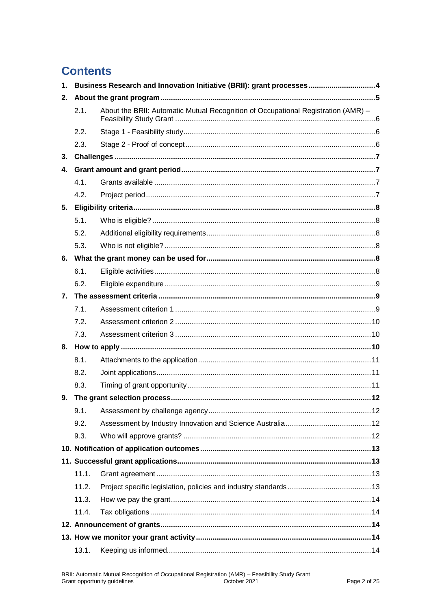# **Contents**

| $\mathbf{1}$ . | Business Research and Innovation Initiative (BRII): grant processes4 |                                                                                   |  |
|----------------|----------------------------------------------------------------------|-----------------------------------------------------------------------------------|--|
| 2.             |                                                                      |                                                                                   |  |
|                | 2.1.                                                                 | About the BRII: Automatic Mutual Recognition of Occupational Registration (AMR) - |  |
|                | 2.2.                                                                 |                                                                                   |  |
|                | 2.3.                                                                 |                                                                                   |  |
| 3.             |                                                                      |                                                                                   |  |
| 4.             |                                                                      |                                                                                   |  |
|                | 4.1.                                                                 |                                                                                   |  |
|                | 4.2.                                                                 |                                                                                   |  |
| 5.             |                                                                      |                                                                                   |  |
|                | 5.1.                                                                 |                                                                                   |  |
|                | 5.2.                                                                 |                                                                                   |  |
|                | 5.3.                                                                 |                                                                                   |  |
|                |                                                                      |                                                                                   |  |
|                | 6.1.                                                                 |                                                                                   |  |
|                | 6.2.                                                                 |                                                                                   |  |
| 7.             |                                                                      |                                                                                   |  |
|                | 7.1.                                                                 |                                                                                   |  |
|                | 7.2.                                                                 |                                                                                   |  |
|                | 7.3.                                                                 |                                                                                   |  |
|                |                                                                      |                                                                                   |  |
|                | 8.1.                                                                 |                                                                                   |  |
|                | 8.2.                                                                 |                                                                                   |  |
|                | 8.3.                                                                 |                                                                                   |  |
| 9.             |                                                                      |                                                                                   |  |
|                | 9.1.                                                                 |                                                                                   |  |
|                | 9.2.                                                                 |                                                                                   |  |
|                | 9.3.                                                                 |                                                                                   |  |
|                |                                                                      |                                                                                   |  |
|                |                                                                      |                                                                                   |  |
|                | 11.1.                                                                |                                                                                   |  |
|                | 11.2.                                                                |                                                                                   |  |
|                | 11.3.                                                                |                                                                                   |  |
|                | 11.4.                                                                |                                                                                   |  |
|                |                                                                      |                                                                                   |  |
|                |                                                                      |                                                                                   |  |
|                | 13.1.                                                                |                                                                                   |  |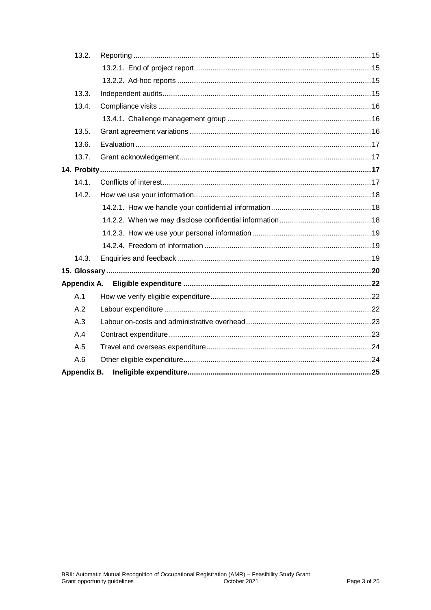| 13.2.       |  |
|-------------|--|
|             |  |
|             |  |
| 13.3.       |  |
| 13.4.       |  |
|             |  |
| 13.5.       |  |
| 13.6.       |  |
| 13.7.       |  |
|             |  |
| 14.1.       |  |
| 14.2.       |  |
|             |  |
|             |  |
|             |  |
|             |  |
| 14.3.       |  |
|             |  |
| Appendix A. |  |
| A.1         |  |
| A.2         |  |
| A.3         |  |
| A.4         |  |
| A.5         |  |
| A.6         |  |
| Appendix B. |  |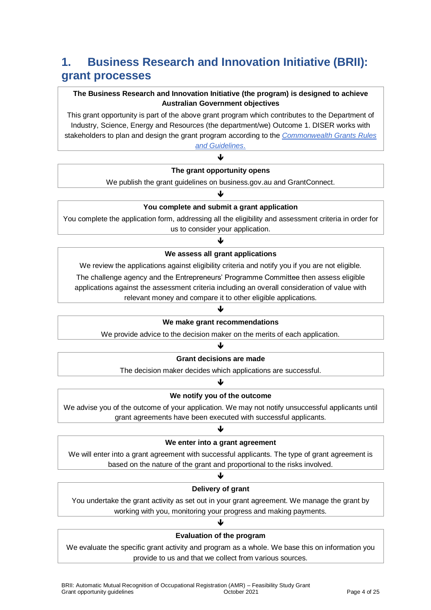# **1. Business Research and Innovation Initiative (BRII): grant processes**

### **The Business Research and Innovation Initiative (the program) is designed to achieve Australian Government objectives**

This grant opportunity is part of the above grant program which contributes to the Department of Industry, Science, Energy and Resources (the department/we) Outcome 1. DISER works with stakeholders to plan and design the grant program according to the *[Commonwealth Grants Rules](https://www.finance.gov.au/government/commonwealth-grants/commonwealth-grants-rules-guidelines)* 

*[and Guidelines](https://www.finance.gov.au/government/commonwealth-grants/commonwealth-grants-rules-guidelines)*. J

#### **The grant opportunity opens**

We publish the grant guidelines on business.gov.au and GrantConnect. J

### **You complete and submit a grant application**

You complete the application form, addressing all the eligibility and assessment criteria in order for us to consider your application.

### ብ **We assess all grant applications**

We review the applications against eligibility criteria and notify you if you are not eligible. The challenge agency and the Entrepreneurs' Programme Committee then assess eligible applications against the assessment criteria including an overall consideration of value with relevant money and compare it to other eligible applications.

### ♦

#### **We make grant recommendations**

We provide advice to the decision maker on the merits of each application.

### ↓

#### **Grant decisions are made**

The decision maker decides which applications are successful.

### ♦

### **We notify you of the outcome**

We advise you of the outcome of your application. We may not notify unsuccessful applicants until grant agreements have been executed with successful applicants.

#### ብ

#### **We enter into a grant agreement**

We will enter into a grant agreement with successful applicants. The type of grant agreement is based on the nature of the grant and proportional to the risks involved.

### ↓ **Delivery of grant**

You undertake the grant activity as set out in your grant agreement. We manage the grant by working with you, monitoring your progress and making payments.

### J **Evaluation of the program**

We evaluate the specific grant activity and program as a whole. We base this on information you provide to us and that we collect from various sources.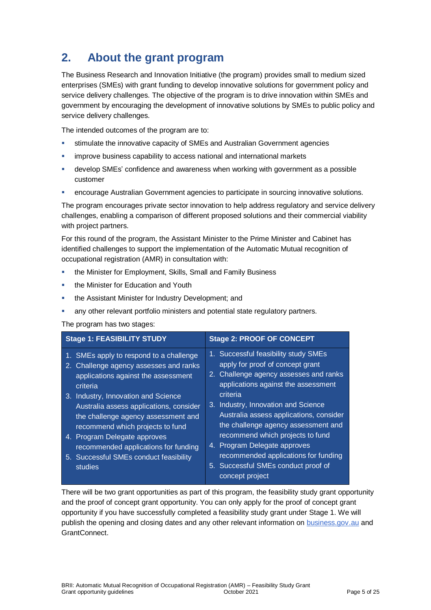# **2. About the grant program**

The Business Research and Innovation Initiative (the program) provides small to medium sized enterprises (SMEs) with grant funding to develop innovative solutions for government policy and service delivery challenges. The objective of the program is to drive innovation within SMEs and government by encouraging the development of innovative solutions by SMEs to public policy and service delivery challenges.

The intended outcomes of the program are to:

- stimulate the innovative capacity of SMEs and Australian Government agencies
- improve business capability to access national and international markets
- develop SMEs' confidence and awareness when working with government as a possible customer
- encourage Australian Government agencies to participate in sourcing innovative solutions.

The program encourages private sector innovation to help address regulatory and service delivery challenges, enabling a comparison of different proposed solutions and their commercial viability with project partners.

For this round of the program, the Assistant Minister to the Prime Minister and Cabinet has identified challenges to support the implementation of the Automatic Mutual recognition of occupational registration (AMR) in consultation with:

- the Minister for Employment, Skills, Small and Family Business
- **the Minister for Education and Youth**
- the Assistant Minister for Industry Development; and
- any other relevant portfolio ministers and potential state regulatory partners.

#### The program has two stages:

| <b>Stage 1: FEASIBILITY STUDY</b>                 | <b>Stage 2: PROOF OF CONCEPT</b>                                                               |
|---------------------------------------------------|------------------------------------------------------------------------------------------------|
| 1. SMEs apply to respond to a challenge           | 1. Successful feasibility study SMEs                                                           |
| 2. Challenge agency assesses and ranks            | apply for proof of concept grant                                                               |
| applications against the assessment               | 2. Challenge agency assesses and ranks                                                         |
| criteria                                          | applications against the assessment                                                            |
| 3. Industry, Innovation and Science               | criteria                                                                                       |
| Australia assess applications, consider           | 3. Industry, Innovation and Science                                                            |
| the challenge agency assessment and               | Australia assess applications, consider                                                        |
| recommend which projects to fund                  | the challenge agency assessment and                                                            |
| 4. Program Delegate approves                      | recommend which projects to fund                                                               |
| recommended applications for funding              | 4. Program Delegate approves                                                                   |
| 5. Successful SMEs conduct feasibility<br>studies | recommended applications for funding<br>5. Successful SMEs conduct proof of<br>concept project |

There will be two grant opportunities as part of this program, the feasibility study grant opportunity and the proof of concept grant opportunity. You can only apply for the proof of concept grant opportunity if you have successfully completed a feasibility study grant under Stage 1. We will publish the opening and closing dates and any other relevant information on [business.gov.au](https://business.gov.au/grants-and-programs/brii-automatic-mutual-recognition-of-occupational-registration) and GrantConnect.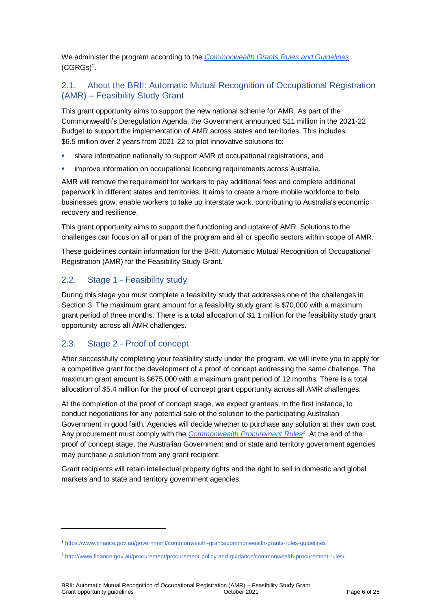We administer the program according to the *[Commonwealth Grants Rules and Guidelines](https://www.finance.gov.au/government/commonwealth-grants/commonwealth-grants-rules-guidelines)*  $(CGRGs)^1$  $(CGRGs)^1$ .

### 2.1. About the BRII: Automatic Mutual Recognition of Occupational Registration (AMR) – Feasibility Study Grant

This grant opportunity aims to support the new national scheme for AMR. As part of the Commonwealth's Deregulation Agenda, the Government announced \$11 million in the 2021-22 Budget to support the implementation of AMR across states and territories. This includes \$6.5 million over 2 years from 2021-22 to pilot innovative solutions to:

- share information nationally to support AMR of occupational registrations, and
- improve information on occupational licencing requirements across Australia.

AMR will remove the requirement for workers to pay additional fees and complete additional paperwork in different states and territories. It aims to create a more mobile workforce to help businesses grow, enable workers to take up interstate work, contributing to Australia's economic recovery and resilience.

This grant opportunity aims to support the functioning and uptake of AMR. Solutions to the challenges can focus on all or part of the program and all or specific sectors within scope of AMR.

These guidelines contain information for the BRII: Automatic Mutual Recognition of Occupational Registration (AMR) for the Feasibility Study Grant.

### 2.2. Stage 1 - Feasibility study

During this stage you must complete a feasibility study that addresses one of the challenges in Section 3. The maximum grant amount for a feasibility study grant is \$70,000 with a maximum grant period of three months. There is a total allocation of \$1.1 million for the feasibility study grant opportunity across all AMR challenges.

### 2.3. Stage 2 - Proof of concept

l

After successfully completing your feasibility study under the program, we will invite you to apply for a competitive grant for the development of a proof of concept addressing the same challenge. The maximum grant amount is \$675,000 with a maximum grant period of 12 months. There is a total allocation of \$5.4 million for the proof of concept grant opportunity across all AMR challenges.

At the completion of the proof of concept stage, we expect grantees, in the first instance, to conduct negotiations for any potential sale of the solution to the participating Australian Government in good faith. Agencies will decide whether to purchase any solution at their own cost. Any procurement must comply with the *[Commonwealth Procurement Rules](http://www.finance.gov.au/procurement/procurement-policy-and-guidance/commonwealth-procurement-rules/)<sup>2</sup>* . At the end of the proof of concept stage, the Australian Government and or state and territory government agencies may purchase a solution from any grant recipient.

Grant recipients will retain intellectual property rights and the right to sell in domestic and global markets and to state and territory government agencies.

<sup>1</sup> <https://www.finance.gov.au/government/commonwealth-grants/commonwealth-grants-rules-guidelines>

<sup>2</sup> <http://www.finance.gov.au/procurement/procurement-policy-and-guidance/commonwealth-procurement-rules/>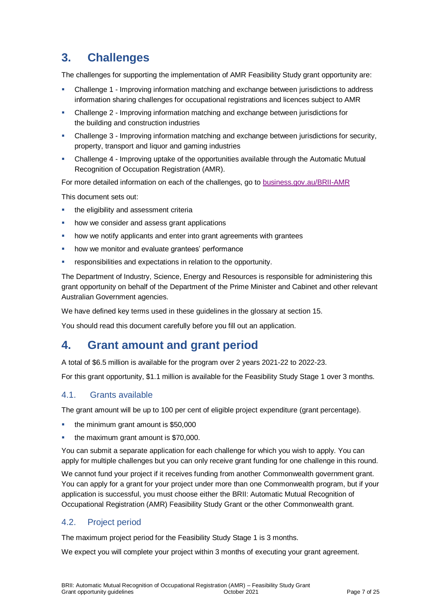## **3. Challenges**

The challenges for supporting the implementation of AMR Feasibility Study grant opportunity are:

- Challenge 1 Improving information matching and exchange between jurisdictions to address information sharing challenges for occupational registrations and licences subject to AMR
- Challenge 2 Improving information matching and exchange between jurisdictions for the building and construction industries
- Challenge 3 Improving information matching and exchange between jurisdictions for security, property, transport and liquor and gaming industries
- Challenge 4 Improving uptake of the opportunities available through the Automatic Mutual Recognition of Occupation Registration (AMR).

For more detailed information on each of the challenges, go to [business.gov.au/BRII-AMR](https://www.business.gov.au/BRII-AMR)

This document sets out:

- the eligibility and assessment criteria
- how we consider and assess grant applications
- how we notify applicants and enter into grant agreements with grantees
- how we monitor and evaluate grantees' performance
- responsibilities and expectations in relation to the opportunity.

The Department of Industry, Science, Energy and Resources is responsible for administering this grant opportunity on behalf of the Department of the Prime Minister and Cabinet and other relevant Australian Government agencies.

We have defined key terms used in these guidelines in the glossary at section 15.

You should read this document carefully before you fill out an application.

### **4. Grant amount and grant period**

A total of \$6.5 million is available for the program over 2 years 2021-22 to 2022-23.

For this grant opportunity, \$1.1 million is available for the Feasibility Study Stage 1 over 3 months.

### 4.1. Grants available

The grant amount will be up to 100 per cent of eligible project expenditure (grant percentage).

- **the minimum grant amount is \$50,000**
- the maximum grant amount is \$70,000.

You can submit a separate application for each challenge for which you wish to apply. You can apply for multiple challenges but you can only receive grant funding for one challenge in this round.

We cannot fund your project if it receives funding from another Commonwealth government grant. You can apply for a grant for your project under more than one Commonwealth program, but if your application is successful, you must choose either the BRII: Automatic Mutual Recognition of Occupational Registration (AMR) Feasibility Study Grant or the other Commonwealth grant.

### 4.2. Project period

The maximum project period for the Feasibility Study Stage 1 is 3 months.

We expect you will complete your project within 3 months of executing your grant agreement.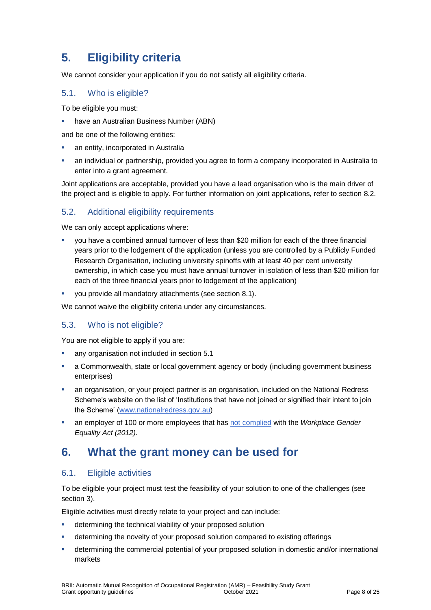# **5. Eligibility criteria**

We cannot consider your application if you do not satisfy all eligibility criteria.

### <span id="page-7-0"></span>5.1. Who is eligible?

To be eligible you must:

have an Australian Business Number (ABN)

and be one of the following entities:

- an entity, incorporated in Australia
- an individual or partnership, provided you agree to form a company incorporated in Australia to enter into a grant agreement.

Joint applications are acceptable, provided you have a lead organisation who is the main driver of the project and is eligible to apply. For further information on joint applications, refer to section [8.2.](#page-10-0)

### 5.2. Additional eligibility requirements

We can only accept applications where:

- you have a combined annual turnover of less than \$20 million for each of the three financial years prior to the lodgement of the application (unless you are controlled by a Publicly Funded Research Organisation, including university spinoffs with at least 40 per cent university ownership, in which case you must have annual turnover in isolation of less than \$20 million for each of the three financial years prior to lodgement of the application)
- you provide all mandatory attachments (see section 8.1).

We cannot waive the eligibility criteria under any circumstances.

### 5.3. Who is not eligible?

You are not eligible to apply if you are:

- any organisation not included in section [5.1](#page-7-0)
- a Commonwealth, state or local government agency or body (including government business enterprises)
- an organisation, or your project partner is an organisation, included on the National Redress Scheme's website on the list of 'Institutions that have not joined or signified their intent to join the Scheme' [\(www.nationalredress.gov.au\)](http://www.nationalredress.gov.au/)
- an employer of 100 or more employees that has [not complied](https://www.wgea.gov.au/what-we-do/compliance-reporting/non-compliant-list) with the *Workplace Gender Equality Act (2012)*.

### **6. What the grant money can be used for**

### <span id="page-7-1"></span>6.1. Eligible activities

To be eligible your project must test the feasibility of your solution to one of the challenges (see section 3).

Eligible activities must directly relate to your project and can include:

- **•** determining the technical viability of your proposed solution
- determining the novelty of your proposed solution compared to existing offerings
- determining the commercial potential of your proposed solution in domestic and/or international markets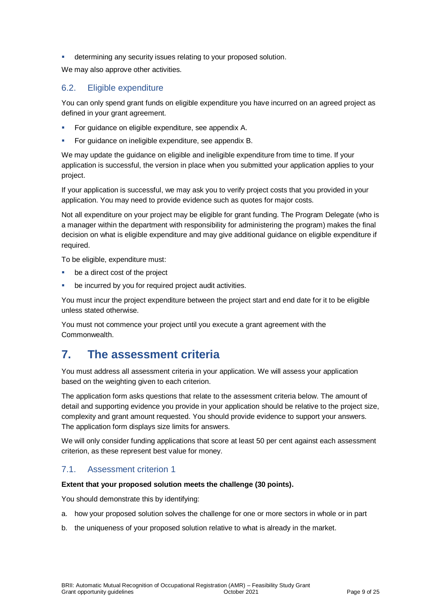determining any security issues relating to your proposed solution.

We may also approve other activities.

### <span id="page-8-0"></span>6.2. Eligible expenditure

You can only spend grant funds on eligible expenditure you have incurred on an agreed project as defined in your grant agreement.

- For guidance on eligible expenditure, see appendix A.
- For guidance on ineligible expenditure, see appendix B.

We may update the guidance on eligible and ineligible expenditure from time to time. If your application is successful, the version in place when you submitted your application applies to your project.

If your application is successful, we may ask you to verify project costs that you provided in your application. You may need to provide evidence such as quotes for major costs.

Not all expenditure on your project may be eligible for grant funding. The Program Delegate (who is a manager within the department with responsibility for administering the program) makes the final decision on what is eligible expenditure and may give additional guidance on eligible expenditure if required.

To be eligible, expenditure must:

- be a direct cost of the project
- be incurred by you for required project audit activities.

You must incur the project expenditure between the project start and end date for it to be eligible unless stated otherwise.

You must not commence your project until you execute a grant agreement with the Commonwealth.

### **7. The assessment criteria**

You must address all assessment criteria in your application. We will assess your application based on the weighting given to each criterion.

The application form asks questions that relate to the assessment criteria below. The amount of detail and supporting evidence you provide in your application should be relative to the project size, complexity and grant amount requested. You should provide evidence to support your answers. The application form displays size limits for answers.

We will only consider funding applications that score at least 50 per cent against each assessment criterion, as these represent best value for money.

### 7.1. Assessment criterion 1

#### **Extent that your proposed solution meets the challenge (30 points).**

You should demonstrate this by identifying:

- a. how your proposed solution solves the challenge for one or more sectors in whole or in part
- b. the uniqueness of your proposed solution relative to what is already in the market.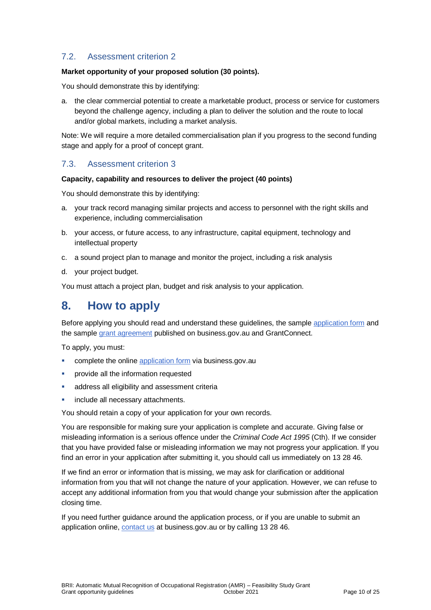### 7.2. Assessment criterion 2

#### **Market opportunity of your proposed solution (30 points).**

You should demonstrate this by identifying:

a. the clear commercial potential to create a marketable product, process or service for customers beyond the challenge agency, including a plan to deliver the solution and the route to local and/or global markets, including a market analysis.

Note: We will require a more detailed commercialisation plan if you progress to the second funding stage and apply for a proof of concept grant.

### 7.3. Assessment criterion 3

#### **Capacity, capability and resources to deliver the project (40 points)**

You should demonstrate this by identifying:

- a. your track record managing similar projects and access to personnel with the right skills and experience, including commercialisation
- b. your access, or future access, to any infrastructure, capital equipment, technology and intellectual property
- c. a sound project plan to manage and monitor the project, including a risk analysis
- d. your project budget.

You must attach a project plan, budget and risk analysis to your application.

### **8. How to apply**

Before applying you should read and understand these guidelines, the sample [application form](https://business.gov.au/grants-and-programs/brii-automatic-mutual-recognition-of-occupational-registration#key-documents) and the sampl[e grant agreement](https://business.gov.au/grants-and-programs/brii-automatic-mutual-recognition-of-occupational-registration#key-documents) published on business.gov.au and GrantConnect.

To apply, you must:

- **EXECOMPLETE COMPLETE IN EXECUTE:** complete the online [application form](https://business.gov.au/grants-and-programs/brii-automatic-mutual-recognition-of-occupational-registration) via business.gov.au
- provide all the information requested
- address all eligibility and assessment criteria
- include all necessary attachments.

You should retain a copy of your application for your own records.

You are responsible for making sure your application is complete and accurate. Giving false or misleading information is a serious offence under the *Criminal Code Act 1995* (Cth). If we consider that you have provided false or misleading information we may not progress your application. If you find an error in your application after submitting it, you should call us immediately on 13 28 46.

If we find an error or information that is missing, we may ask for clarification or additional information from you that will not change the nature of your application. However, we can refuse to accept any additional information from you that would change your submission after the application closing time.

If you need further guidance around the application process, or if you are unable to submit an application online, [contact us](https://www.business.gov.au/contact-us) at business.gov.au or by calling 13 28 46.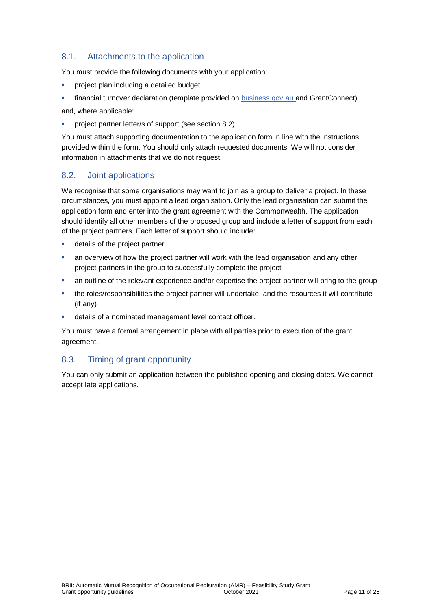### 8.1. Attachments to the application

You must provide the following documents with your application:

- **Part including a detailed budget**
- financial turnover declaration (template provided on [business.gov.au](https://business.gov.au/grants-and-programs/brii-automatic-mutual-recognition-of-occupational-registration#key-documents) and GrantConnect)

and, where applicable:

project partner letter/s of support (see section 8.2).

You must attach supporting documentation to the application form in line with the instructions provided within the form. You should only attach requested documents. We will not consider information in attachments that we do not request.

### <span id="page-10-0"></span>8.2. Joint applications

We recognise that some organisations may want to join as a group to deliver a project. In these circumstances, you must appoint a lead organisation. Only the lead organisation can submit the application form and enter into the grant agreement with the Commonwealth. The application should identify all other members of the proposed group and include a letter of support from each of the project partners. Each letter of support should include:

- **details of the project partner**
- an overview of how the project partner will work with the lead organisation and any other project partners in the group to successfully complete the project
- an outline of the relevant experience and/or expertise the project partner will bring to the group
- the roles/responsibilities the project partner will undertake, and the resources it will contribute (if any)
- details of a nominated management level contact officer.

You must have a formal arrangement in place with all parties prior to execution of the grant agreement.

### 8.3. Timing of grant opportunity

You can only submit an application between the published opening and closing dates. We cannot accept late applications.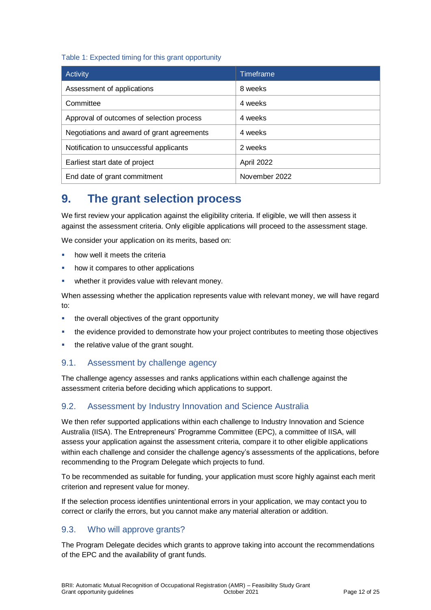### Table 1: Expected timing for this grant opportunity

| Activity                                   | Timeframe     |
|--------------------------------------------|---------------|
| Assessment of applications                 | 8 weeks       |
| Committee                                  | 4 weeks       |
| Approval of outcomes of selection process  | 4 weeks       |
| Negotiations and award of grant agreements | 4 weeks       |
| Notification to unsuccessful applicants    | 2 weeks       |
| Earliest start date of project             | April 2022    |
| End date of grant commitment               | November 2022 |

### **9. The grant selection process**

We first review your application against the eligibility criteria. If eligible, we will then assess it against the assessment criteria. Only eligible applications will proceed to the assessment stage.

We consider your application on its merits, based on:

- how well it meets the criteria
- how it compares to other applications
- whether it provides value with relevant money.

When assessing whether the application represents value with relevant money, we will have regard to:

- the overall objectives of the grant opportunity
- the evidence provided to demonstrate how your project contributes to meeting those objectives
- the relative value of the grant sought.

### 9.1. Assessment by challenge agency

The challenge agency assesses and ranks applications within each challenge against the assessment criteria before deciding which applications to support.

### 9.2. Assessment by Industry Innovation and Science Australia

We then refer supported applications within each challenge to Industry Innovation and Science Australia (IISA). The Entrepreneurs' Programme Committee (EPC), a committee of IISA, will assess your application against the assessment criteria, compare it to other eligible applications within each challenge and consider the challenge agency's assessments of the applications, before recommending to the Program Delegate which projects to fund.

To be recommended as suitable for funding, your application must score highly against each merit criterion and represent value for money.

If the selection process identifies unintentional errors in your application, we may contact you to correct or clarify the errors, but you cannot make any material alteration or addition.

### 9.3. Who will approve grants?

The Program Delegate decides which grants to approve taking into account the recommendations of the EPC and the availability of grant funds.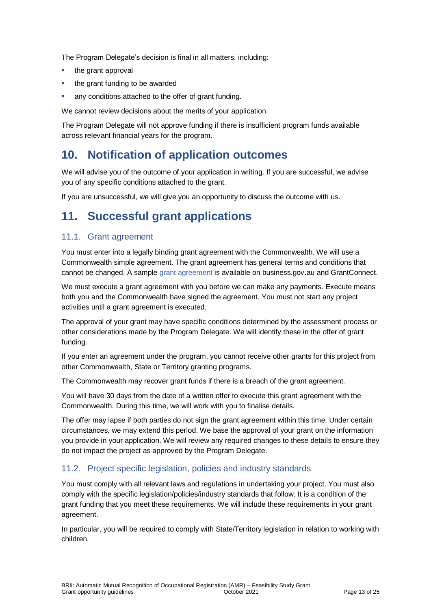The Program Delegate's decision is final in all matters, including:

- the grant approval
- the grant funding to be awarded
- any conditions attached to the offer of grant funding.

We cannot review decisions about the merits of your application.

The Program Delegate will not approve funding if there is insufficient program funds available across relevant financial years for the program.

### **10. Notification of application outcomes**

We will advise you of the outcome of your application in writing. If you are successful, we advise you of any specific conditions attached to the grant.

If you are unsuccessful, we will give you an opportunity to discuss the outcome with us.

### **11. Successful grant applications**

### 11.1. Grant agreement

You must enter into a legally binding grant agreement with the Commonwealth. We will use a Commonwealth simple agreement. The grant agreement has general terms and conditions that cannot be changed. A sample [grant agreement](https://business.gov.au/grants-and-programs/brii-automatic-mutual-recognition-of-occupational-registration#key-documents) is available on business.gov.au and GrantConnect.

We must execute a grant agreement with you before we can make any payments. Execute means both you and the Commonwealth have signed the agreement. You must not start any project activities until a grant agreement is executed.

The approval of your grant may have specific conditions determined by the assessment process or other considerations made by the Program Delegate. We will identify these in the offer of grant funding.

If you enter an agreement under the program, you cannot receive other grants for this project from other Commonwealth, State or Territory granting programs.

The Commonwealth may recover grant funds if there is a breach of the grant agreement.

You will have 30 days from the date of a written offer to execute this grant agreement with the Commonwealth. During this time, we will work with you to finalise details.

The offer may lapse if both parties do not sign the grant agreement within this time. Under certain circumstances, we may extend this period. We base the approval of your grant on the information you provide in your application. We will review any required changes to these details to ensure they do not impact the project as approved by the Program Delegate.

### 11.2. Project specific legislation, policies and industry standards

You must comply with all relevant laws and regulations in undertaking your project. You must also comply with the specific legislation/policies/industry standards that follow. It is a condition of the grant funding that you meet these requirements. We will include these requirements in your grant agreement.

In particular, you will be required to comply with State/Territory legislation in relation to working with children.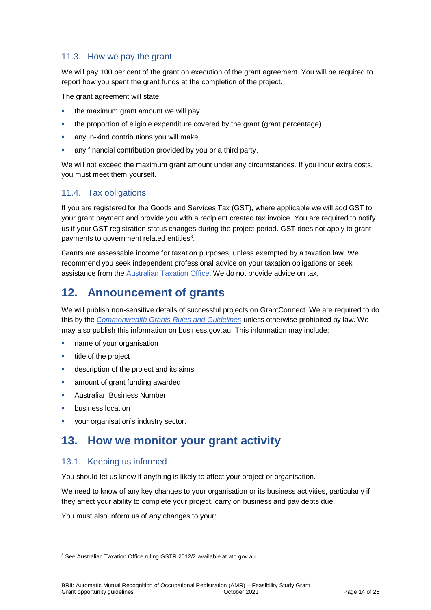### 11.3. How we pay the grant

We will pay 100 per cent of the grant on execution of the grant agreement. You will be required to report how you spent the grant funds at the completion of the project.

The grant agreement will state:

- the maximum grant amount we will pay
- the proportion of eligible expenditure covered by the grant (grant percentage)
- any in-kind contributions you will make
- any financial contribution provided by you or a third party.

We will not exceed the maximum grant amount under any circumstances. If you incur extra costs, you must meet them yourself.

### 11.4. Tax obligations

If you are registered for the Goods and Services Tax (GST), where applicable we will add GST to your grant payment and provide you with a recipient created tax invoice. You are required to notify us if your GST registration status changes during the project period. GST does not apply to grant payments to government related entities $3$ .

Grants are assessable income for taxation purposes, unless exempted by a taxation law. We recommend you seek independent professional advice on your taxation obligations or seek assistance from the [Australian Taxation Office.](https://www.ato.gov.au/) We do not provide advice on tax.

### **12. Announcement of grants**

We will publish non-sensitive details of successful projects on GrantConnect. We are required to do this by the *[Commonwealth Grants Rules and Guidelines](https://www.finance.gov.au/government/commonwealth-grants/commonwealth-grants-rules-guidelines)* unless otherwise prohibited by law. We may also publish this information on business.gov.au. This information may include:

- **name of your organisation**
- $\blacksquare$  title of the project
- **description of the project and its aims**
- amount of grant funding awarded
- Australian Business Number
- business location

l

your organisation's industry sector.

### **13. How we monitor your grant activity**

### 13.1. Keeping us informed

You should let us know if anything is likely to affect your project or organisation.

We need to know of any key changes to your organisation or its business activities, particularly if they affect your ability to complete your project, carry on business and pay debts due.

You must also inform us of any changes to your:

<sup>&</sup>lt;sup>3</sup> See Australian Taxation Office ruling GSTR 2012/2 available at ato.gov.au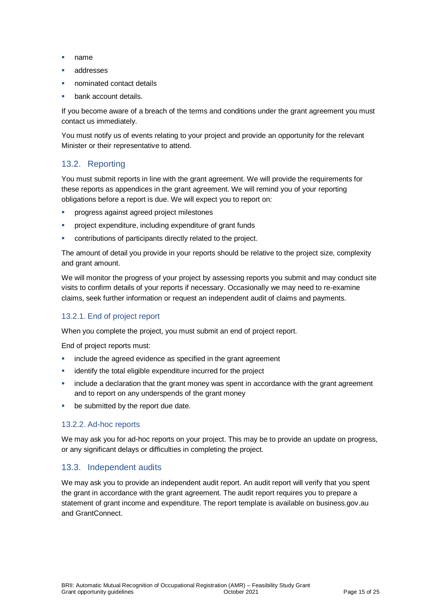- name
- addresses
- nominated contact details
- bank account details.

If you become aware of a breach of the terms and conditions under the grant agreement you must contact us immediately.

You must notify us of events relating to your project and provide an opportunity for the relevant Minister or their representative to attend.

### 13.2. Reporting

You must submit reports in line with the [grant agreement.](file://///prod.protected.ind/User/user03/LLau2/insert%20link%20here) We will provide the requirements for these reports as appendices in the grant agreement. We will remind you of your reporting obligations before a report is due. We will expect you to report on:

- **PEDROGERS** against agreed project milestones
- **•** project expenditure, including expenditure of grant funds
- contributions of participants directly related to the project.

The amount of detail you provide in your reports should be relative to the project size, complexity and grant amount.

We will monitor the progress of your project by assessing reports you submit and may conduct site visits to confirm details of your reports if necessary. Occasionally we may need to re-examine claims, seek further information or request an independent audit of claims and payments.

### 13.2.1. End of project report

When you complete the project, you must submit an end of project report.

End of project reports must:

- **EXEDENT** include the agreed evidence as specified in the grant agreement
- identify the total eligible expenditure incurred for the project
- **EXT** include a declaration that the grant money was spent in accordance with the grant agreement and to report on any underspends of the grant money
- be submitted by the report due date.

### 13.2.2. Ad-hoc reports

We may ask you for ad-hoc reports on your project. This may be to provide an update on progress, or any significant delays or difficulties in completing the project.

### 13.3. Independent audits

We may ask you to provide an independent audit report. An audit report will verify that you spent the grant in accordance with the grant agreement. The audit report requires you to prepare a statement of grant income and expenditure. The report template is available on business.gov.au and GrantConnect.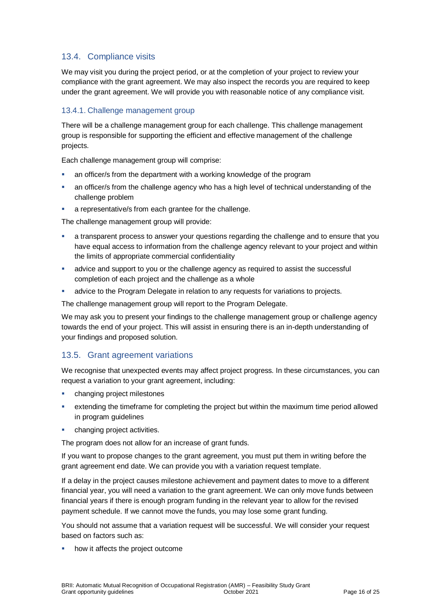### 13.4. Compliance visits

We may visit you during the project period, or at the completion of your project to review your compliance with the grant agreement. We may also inspect the records you are required to keep under the grant agreement. We will provide you with reasonable notice of any compliance visit.

### 13.4.1. Challenge management group

There will be a challenge management group for each challenge. This challenge management group is responsible for supporting the efficient and effective management of the challenge projects.

Each challenge management group will comprise:

- an officer/s from the department with a working knowledge of the program
- an officer/s from the challenge agency who has a high level of technical understanding of the challenge problem
- a representative/s from each grantee for the challenge.

The challenge management group will provide:

- a transparent process to answer your questions regarding the challenge and to ensure that you have equal access to information from the challenge agency relevant to your project and within the limits of appropriate commercial confidentiality
- advice and support to you or the challenge agency as required to assist the successful completion of each project and the challenge as a whole
- advice to the Program Delegate in relation to any requests for variations to projects.

The challenge management group will report to the Program Delegate.

We may ask you to present your findings to the challenge management group or challenge agency towards the end of your project. This will assist in ensuring there is an in-depth understanding of your findings and proposed solution.

### 13.5. Grant agreement variations

We recognise that unexpected events may affect project progress. In these circumstances, you can request a variation to your grant agreement, including:

- **•** changing project milestones
- extending the timeframe for completing the project but within the maximum time period allowed in program guidelines
- **•** changing project activities.

The program does not allow for an increase of grant funds.

If you want to propose changes to the grant agreement, you must put them in writing before the grant agreement end date. We can provide you with a variation request template.

If a delay in the project causes milestone achievement and payment dates to move to a different financial year, you will need a variation to the grant agreement. We can only move funds between financial years if there is enough program funding in the relevant year to allow for the revised payment schedule. If we cannot move the funds, you may lose some grant funding.

You should not assume that a variation request will be successful. We will consider your request based on factors such as:

how it affects the project outcome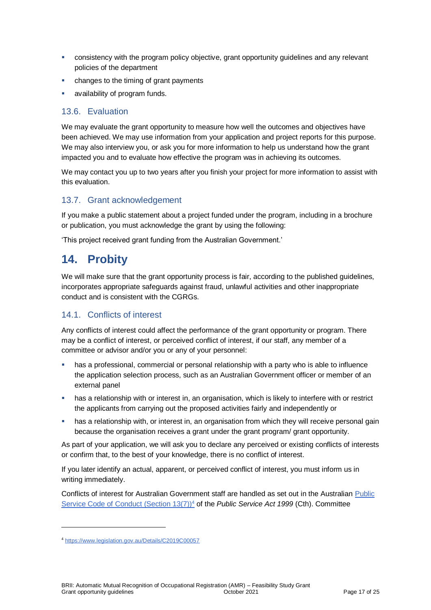- consistency with the program policy objective, grant opportunity guidelines and any relevant policies of the department
- changes to the timing of grant payments
- availability of program funds.

### 13.6. Evaluation

We may evaluate the grant opportunity to measure how well the outcomes and objectives have been achieved. We may use information from your application and project reports for this purpose. We may also interview you, or ask you for more information to help us understand how the grant impacted you and to evaluate how effective the program was in achieving its outcomes.

We may contact you up to two years after you finish your project for more information to assist with this evaluation.

### 13.7. Grant acknowledgement

If you make a public statement about a project funded under the program, including in a brochure or publication, you must acknowledge the grant by using the following:

'This project received grant funding from the Australian Government.'

### **14. Probity**

We will make sure that the grant opportunity process is fair, according to the published guidelines, incorporates appropriate safeguards against fraud, unlawful activities and other inappropriate conduct and is consistent with the CGRGs.

### 14.1. Conflicts of interest

Any conflicts of interest could affect the performance of the grant opportunity or program. There may be a [conflict of interest,](http://www.apsc.gov.au/publications-and-media/current-publications/aps-values-and-code-of-conduct-in-practice/conflict-of-interest) or perceived conflict of interest, if our staff, any member of a committee or advisor and/or you or any of your personnel:

- has a professional, commercial or personal relationship with a party who is able to influence the application selection process, such as an Australian Government officer or member of an external panel
- has a relationship with or interest in, an organisation, which is likely to interfere with or restrict the applicants from carrying out the proposed activities fairly and independently or
- **•** has a relationship with, or interest in, an organisation from which they will receive personal gain because the organisation receives a grant under the grant program/ grant opportunity.

As part of your application, we will ask you to declare any perceived or existing conflicts of interests or confirm that, to the best of your knowledge, there is no conflict of interest.

If you later identify an actual, apparent, or perceived conflict of interest, you must inform us in writing immediately.

Conflicts of interest for Australian Government staff are handled as set out in the Australian [Public](https://www.legislation.gov.au/Details/C2019C00057)  [Service Code of Conduct \(Section 13\(7\)\)](https://www.legislation.gov.au/Details/C2019C00057)<sup>4</sup> of the *Public Service Act 1999* (Cth). Committee

l

<sup>4</sup> https://www.legislation.gov.au/Details/C2019C00057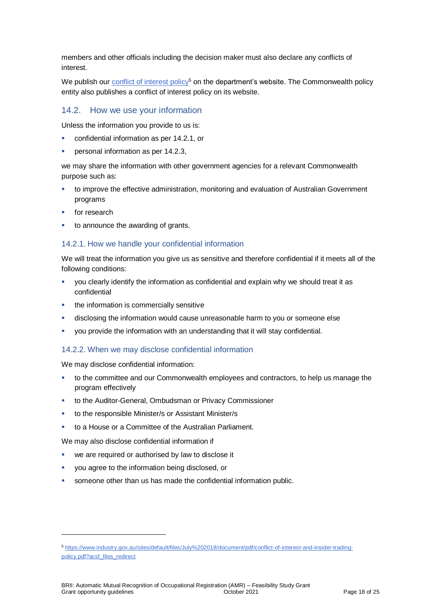members and other officials including the decision maker must also declare any conflicts of interest.

We publish our conflict of interest  $\text{policy}^5$  on the department's website. The Commonwealth policy entity also publishes a conflict of interest policy on its website.

### 14.2. How we use your information

Unless the information you provide to us is:

- confidential information as per [14.2.1,](#page-17-0) or
- personal information as per 14.2.3,

we may share the information with other government agencies for a relevant Commonwealth purpose such as:

- to improve the effective administration, monitoring and evaluation of Australian Government programs
- for research

l

to announce the awarding of grants.

### <span id="page-17-0"></span>14.2.1. How we handle your confidential information

We will treat the information you give us as sensitive and therefore confidential if it meets all of the following conditions:

- you clearly identify the information as confidential and explain why we should treat it as confidential
- the information is commercially sensitive
- disclosing the information would cause unreasonable harm to you or someone else
- you provide the information with an understanding that it will stay confidential.

#### 14.2.2. When we may disclose confidential information

We may disclose confidential information:

- to the committee and our Commonwealth employees and contractors, to help us manage the program effectively
- to the Auditor-General, Ombudsman or Privacy Commissioner
- to the responsible Minister/s or Assistant Minister/s
- to a House or a Committee of the Australian Parliament.

We may also disclose confidential information if

- we are required or authorised by law to disclose it
- you agree to the information being disclosed, or
- someone other than us has made the confidential information public.

<sup>5</sup> [https://www.industry.gov.au/sites/default/files/July%202018/document/pdf/conflict-of-interest-and-insider-trading](https://www.industry.gov.au/sites/default/files/July%202018/document/pdf/conflict-of-interest-and-insider-trading-policy.pdf?acsf_files_redirect)[policy.pdf?acsf\\_files\\_redirect](https://www.industry.gov.au/sites/default/files/July%202018/document/pdf/conflict-of-interest-and-insider-trading-policy.pdf?acsf_files_redirect)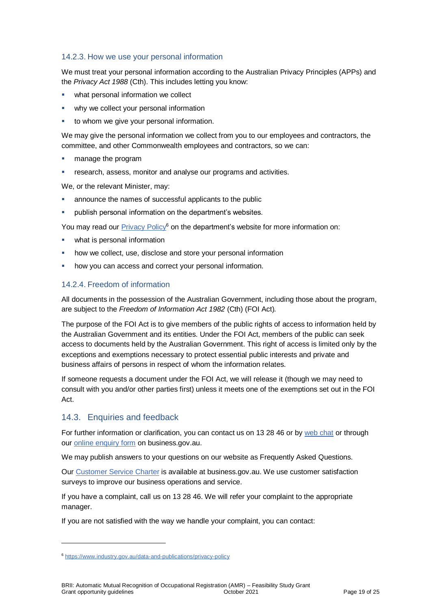### 14.2.3. How we use your personal information

We must treat your personal information according to the Australian Privacy Principles (APPs) and the *Privacy Act 1988* (Cth). This includes letting you know:

- what personal information we collect
- why we collect your personal information
- to whom we give your personal information.

We may give the personal information we collect from you to our employees and contractors, the committee, and other Commonwealth employees and contractors, so we can:

- manage the program
- research, assess, monitor and analyse our programs and activities.

We, or the relevant Minister, may:

- announce the names of successful applicants to the public
- publish personal information on the department's websites.

You may read our [Privacy Policy](https://www.industry.gov.au/data-and-publications/privacy-policy)<sup>6</sup> on the department's website for more information on:

- what is personal information
- how we collect, use, disclose and store your personal information
- how you can access and correct your personal information.

### 14.2.4. Freedom of information

All documents in the possession of the Australian Government, including those about the program, are subject to the *Freedom of Information Act 1982* (Cth) (FOI Act)*.*

The purpose of the FOI Act is to give members of the public rights of access to information held by the Australian Government and its entities. Under the FOI Act, members of the public can seek access to documents held by the Australian Government. This right of access is limited only by the exceptions and exemptions necessary to protect essential public interests and private and business affairs of persons in respect of whom the information relates.

If someone requests a document under the FOI Act, we will release it (though we may need to consult with you and/or other parties first) unless it meets one of the exemptions set out in the FOI Act.

### 14.3. Enquiries and feedback

l

For further information or clarification, you can contact us on 13 28 46 or by [web chat](https://www.business.gov.au/contact-us) or through our [online enquiry form](http://www.business.gov.au/contact-us/Pages/default.aspx) on business.gov.au.

We may publish answers to your questions on our website as Frequently Asked Questions.

Our [Customer Service Charter](https://www.business.gov.au/about/customer-service-charter) is available at [business.gov.au.](http://www.business.gov.au/) We use customer satisfaction surveys to improve our business operations and service.

If you have a complaint, call us on 13 28 46. We will refer your complaint to the appropriate manager.

If you are not satisfied with the way we handle your complaint, you can contact:

<sup>6</sup> <https://www.industry.gov.au/data-and-publications/privacy-policy>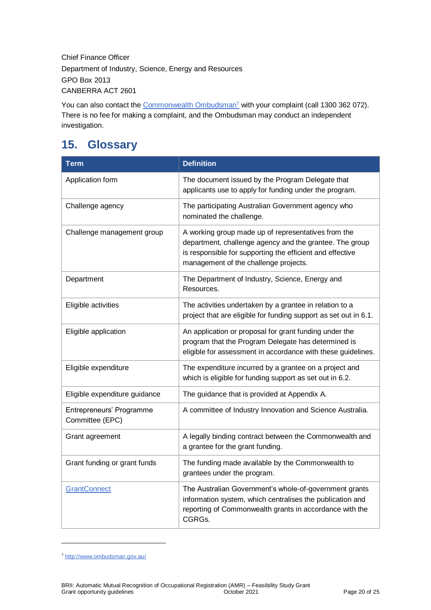Chief Finance Officer Department of Industry, Science, Energy and Resources GPO Box 2013 CANBERRA ACT 2601

You can also contact the [Commonwealth Ombudsman](http://www.ombudsman.gov.au/)<sup>7</sup> with your complaint (call 1300 362 072). There is no fee for making a complaint, and the Ombudsman may conduct an independent investigation.

# **15. Glossary**

| <b>Term</b>                                 | <b>Definition</b>                                                                                                                                                                                                    |
|---------------------------------------------|----------------------------------------------------------------------------------------------------------------------------------------------------------------------------------------------------------------------|
| Application form                            | The document issued by the Program Delegate that<br>applicants use to apply for funding under the program.                                                                                                           |
| Challenge agency                            | The participating Australian Government agency who<br>nominated the challenge.                                                                                                                                       |
| Challenge management group                  | A working group made up of representatives from the<br>department, challenge agency and the grantee. The group<br>is responsible for supporting the efficient and effective<br>management of the challenge projects. |
| Department                                  | The Department of Industry, Science, Energy and<br>Resources.                                                                                                                                                        |
| Eligible activities                         | The activities undertaken by a grantee in relation to a<br>project that are eligible for funding support as set out in 6.1.                                                                                          |
| Eligible application                        | An application or proposal for grant funding under the<br>program that the Program Delegate has determined is<br>eligible for assessment in accordance with these guidelines.                                        |
| Eligible expenditure                        | The expenditure incurred by a grantee on a project and<br>which is eligible for funding support as set out in 6.2.                                                                                                   |
| Eligible expenditure guidance               | The guidance that is provided at Appendix A.                                                                                                                                                                         |
| Entrepreneurs' Programme<br>Committee (EPC) | A committee of Industry Innovation and Science Australia.                                                                                                                                                            |
| Grant agreement                             | A legally binding contract between the Commonwealth and<br>a grantee for the grant funding.                                                                                                                          |
| Grant funding or grant funds                | The funding made available by the Commonwealth to<br>grantees under the program.                                                                                                                                     |
| <b>GrantConnect</b>                         | The Australian Government's whole-of-government grants<br>information system, which centralises the publication and<br>reporting of Commonwealth grants in accordance with the<br>CGRGs.                             |

<sup>7</sup> <http://www.ombudsman.gov.au/>

l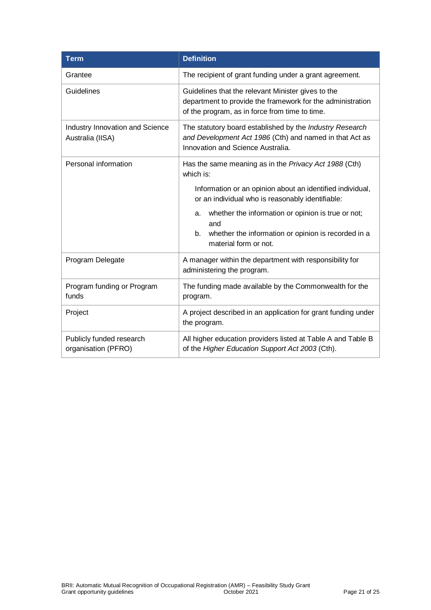| <b>Term</b>                                         | <b>Definition</b>                                                                                                                                                  |
|-----------------------------------------------------|--------------------------------------------------------------------------------------------------------------------------------------------------------------------|
| Grantee                                             | The recipient of grant funding under a grant agreement.                                                                                                            |
| Guidelines                                          | Guidelines that the relevant Minister gives to the<br>department to provide the framework for the administration<br>of the program, as in force from time to time. |
| Industry Innovation and Science<br>Australia (IISA) | The statutory board established by the Industry Research<br>and Development Act 1986 (Cth) and named in that Act as<br>Innovation and Science Australia.           |
| Personal information                                | Has the same meaning as in the Privacy Act 1988 (Cth)<br>which is:                                                                                                 |
|                                                     | Information or an opinion about an identified individual,<br>or an individual who is reasonably identifiable:                                                      |
|                                                     | whether the information or opinion is true or not;<br>a.<br>and                                                                                                    |
|                                                     | b.<br>whether the information or opinion is recorded in a<br>material form or not.                                                                                 |
| Program Delegate                                    | A manager within the department with responsibility for<br>administering the program.                                                                              |
| Program funding or Program<br>funds                 | The funding made available by the Commonwealth for the<br>program.                                                                                                 |
| Project                                             | A project described in an application for grant funding under<br>the program.                                                                                      |
| Publicly funded research<br>organisation (PFRO)     | All higher education providers listed at Table A and Table B<br>of the Higher Education Support Act 2003 (Cth).                                                    |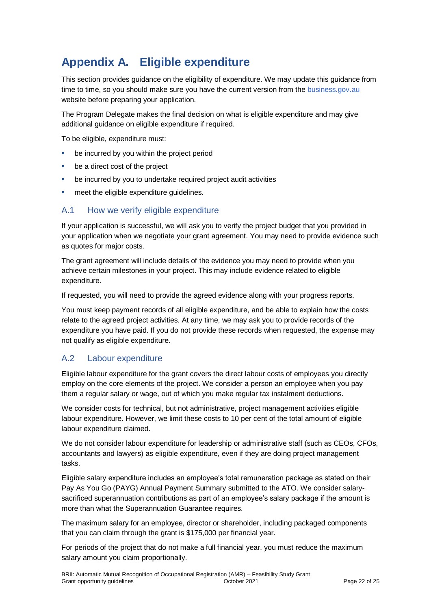# **Appendix A. Eligible expenditure**

This section provides guidance on the eligibility of expenditure. We may update this guidance from time to time, so you should make sure you have the current version from th[e business.gov.au](https://business.gov.au/) website before preparing your application.

The Program Delegate makes the final decision on what is eligible expenditure and may give additional quidance on eligible expenditure if required.

To be eligible, expenditure must:

- be incurred by you within the project period
- be a direct cost of the project
- be incurred by you to undertake required project audit activities
- meet the eligible expenditure guidelines.

### A.1 How we verify eligible expenditure

If your application is successful, we will ask you to verify the project budget that you provided in your application when we negotiate your grant agreement. You may need to provide evidence such as quotes for major costs.

The grant agreement will include details of the evidence you may need to provide when you achieve certain milestones in your project. This may include evidence related to eligible expenditure.

If requested, you will need to provide the agreed evidence along with your progress reports.

You must keep payment records of all eligible expenditure, and be able to explain how the costs relate to the agreed project activities. At any time, we may ask you to provide records of the expenditure you have paid. If you do not provide these records when requested, the expense may not qualify as eligible expenditure.

### A.2 Labour expenditure

Eligible labour expenditure for the grant covers the direct labour costs of employees you directly employ on the core elements of the project. We consider a person an employee when you pay them a regular salary or wage, out of which you make regular tax instalment deductions.

We consider costs for technical, but not administrative, project management activities eligible labour expenditure. However, we limit these costs to 10 per cent of the total amount of eligible labour expenditure claimed.

We do not consider labour expenditure for leadership or administrative staff (such as CEOs, CFOs, accountants and lawyers) as eligible expenditure, even if they are doing project management tasks.

Eligible salary expenditure includes an employee's total remuneration package as stated on their Pay As You Go (PAYG) Annual Payment Summary submitted to the ATO. We consider salarysacrificed superannuation contributions as part of an employee's salary package if the amount is more than what the Superannuation Guarantee requires.

The maximum salary for an employee, director or shareholder, including packaged components that you can claim through the grant is \$175,000 per financial year.

For periods of the project that do not make a full financial year, you must reduce the maximum salary amount you claim proportionally.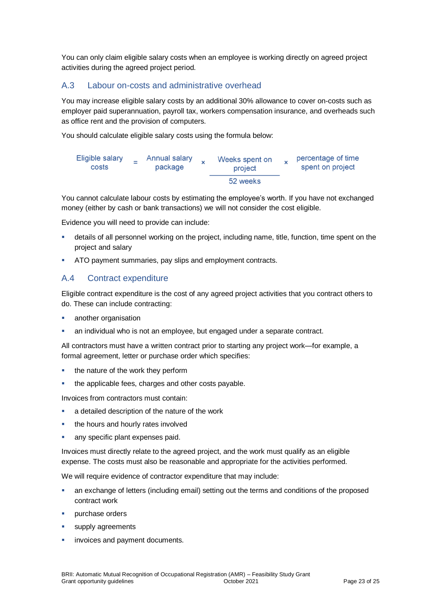You can only claim eligible salary costs when an employee is working directly on agreed project activities during the agreed project period.

### A.3 Labour on-costs and administrative overhead

You may increase eligible salary costs by an additional 30% allowance to cover on-costs such as employer paid superannuation, payroll tax, workers compensation insurance, and overheads such as office rent and the provision of computers.

You should calculate eligible salary costs using the formula below:



You cannot calculate labour costs by estimating the employee's worth. If you have not exchanged money (either by cash or bank transactions) we will not consider the cost eligible.

Evidence you will need to provide can include:

- details of all personnel working on the project, including name, title, function, time spent on the project and salary
- ATO payment summaries, pay slips and employment contracts.

### A.4 Contract expenditure

Eligible contract expenditure is the cost of any agreed project activities that you contract others to do. These can include contracting:

- another organisation
- an individual who is not an employee, but engaged under a separate contract.

All contractors must have a written contract prior to starting any project work—for example, a formal agreement, letter or purchase order which specifies:

- the nature of the work they perform
- the applicable fees, charges and other costs payable.

Invoices from contractors must contain:

- a detailed description of the nature of the work
- the hours and hourly rates involved
- any specific plant expenses paid.

Invoices must directly relate to the agreed project, and the work must qualify as an eligible expense. The costs must also be reasonable and appropriate for the activities performed.

We will require evidence of contractor expenditure that may include:

- an exchange of letters (including email) setting out the terms and conditions of the proposed contract work
- purchase orders
- supply agreements
- invoices and payment documents.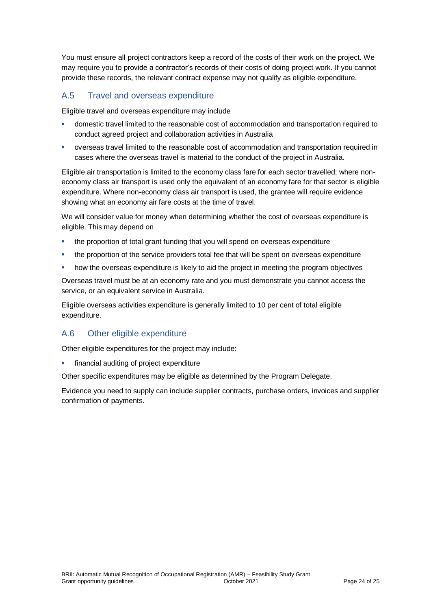You must ensure all project contractors keep a record of the costs of their work on the project. We may require you to provide a contractor's records of their costs of doing project work. If you cannot provide these records, the relevant contract expense may not qualify as eligible expenditure.

### A.5 Travel and overseas expenditure

Eligible travel and overseas expenditure may include

- domestic travel limited to the reasonable cost of accommodation and transportation required to conduct agreed project and collaboration activities in Australia
- overseas travel limited to the reasonable cost of accommodation and transportation required in cases where the overseas travel is material to the conduct of the project in Australia.

Eligible air transportation is limited to the economy class fare for each sector travelled; where noneconomy class air transport is used only the equivalent of an economy fare for that sector is eligible expenditure. Where non-economy class air transport is used, the grantee will require evidence showing what an economy air fare costs at the time of travel.

We will consider value for money when determining whether the cost of overseas expenditure is eligible. This may depend on

- the proportion of total grant funding that you will spend on overseas expenditure
- the proportion of the service providers total fee that will be spent on overseas expenditure
- how the overseas expenditure is likely to aid the project in meeting the program objectives

Overseas travel must be at an economy rate and you must demonstrate you cannot access the service, or an equivalent service in Australia.

Eligible overseas activities expenditure is generally limited to 10 per cent of total eligible expenditure.

### A.6 Other eligible expenditure

Other eligible expenditures for the project may include:

financial auditing of project expenditure

Other specific expenditures may be eligible as determined by the Program Delegate.

Evidence you need to supply can include supplier contracts, purchase orders, invoices and supplier confirmation of payments.